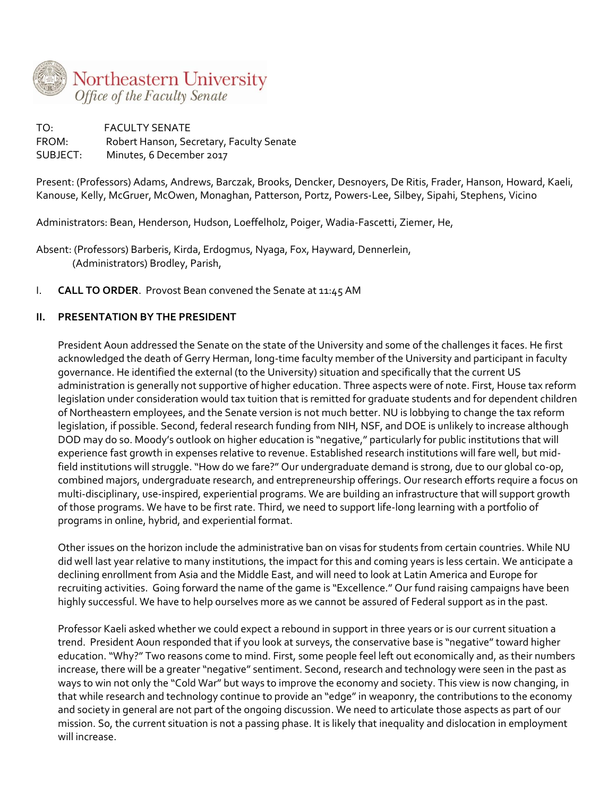

TO: FACULTY SENATE FROM: Robert Hanson, Secretary, Faculty Senate SUBJECT: Minutes, 6 December 2017

Present: (Professors) Adams, Andrews, Barczak, Brooks, Dencker, Desnoyers, De Ritis, Frader, Hanson, Howard, Kaeli, Kanouse, Kelly, McGruer, McOwen, Monaghan, Patterson, Portz, Powers-Lee, Silbey, Sipahi, Stephens, Vicino

Administrators: Bean, Henderson, Hudson, Loeffelholz, Poiger, Wadia-Fascetti, Ziemer, He,

Absent: (Professors) Barberis, Kirda, Erdogmus, Nyaga, Fox, Hayward, Dennerlein, (Administrators) Brodley, Parish,

I. **CALL TO ORDER**. Provost Bean convened the Senate at 11:45 AM

# **II. PRESENTATION BY THE PRESIDENT**

President Aoun addressed the Senate on the state of the University and some of the challenges it faces. He first acknowledged the death of Gerry Herman, long-time faculty member of the University and participant in faculty governance. He identified the external (to the University) situation and specifically that the current US administration is generally not supportive of higher education. Three aspects were of note. First, House tax reform legislation under consideration would tax tuition that is remitted for graduate students and for dependent children of Northeastern employees, and the Senate version is not much better. NU is lobbying to change the tax reform legislation, if possible. Second, federal research funding from NIH, NSF, and DOE is unlikely to increase although DOD may do so. Moody's outlook on higher education is "negative," particularly for public institutions that will experience fast growth in expenses relative to revenue. Established research institutions will fare well, but midfield institutions will struggle. "How do we fare?" Our undergraduate demand is strong, due to our global co-op, combined majors, undergraduate research, and entrepreneurship offerings. Our research efforts require a focus on multi-disciplinary, use-inspired, experiential programs. We are building an infrastructure that will support growth of those programs. We have to be first rate. Third, we need to support life-long learning with a portfolio of programs in online, hybrid, and experiential format.

Other issues on the horizon include the administrative ban on visas for students from certain countries. While NU did well last year relative to many institutions, the impact for this and coming years is less certain. We anticipate a declining enrollment from Asia and the Middle East, and will need to look at Latin America and Europe for recruiting activities. Going forward the name of the game is "Excellence." Our fund raising campaigns have been highly successful. We have to help ourselves more as we cannot be assured of Federal support as in the past.

Professor Kaeli asked whether we could expect a rebound in support in three years or is our current situation a trend. President Aoun responded that if you look at surveys, the conservative base is "negative" toward higher education. "Why?" Two reasons come to mind. First, some people feel left out economically and, as their numbers increase, there will be a greater "negative" sentiment. Second, research and technology were seen in the past as ways to win not only the "Cold War" but ways to improve the economy and society. This view is now changing, in that while research and technology continue to provide an "edge" in weaponry, the contributions to the economy and society in general are not part of the ongoing discussion. We need to articulate those aspects as part of our mission. So, the current situation is not a passing phase. It is likely that inequality and dislocation in employment will increase.